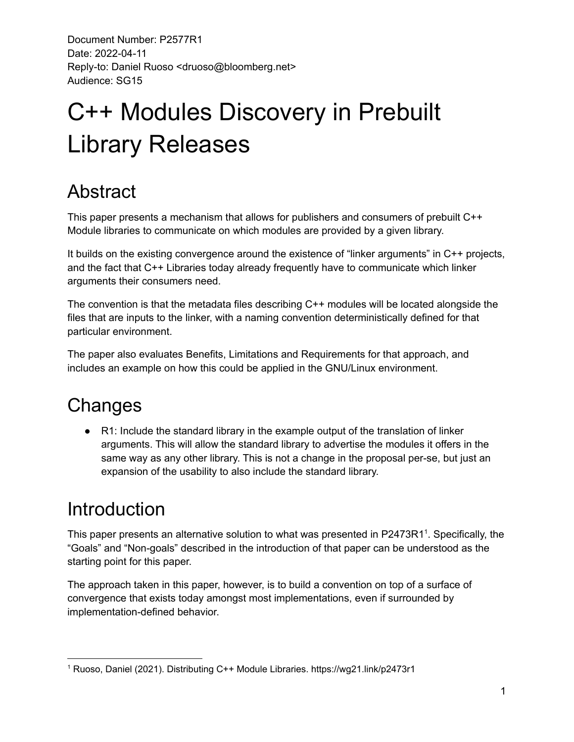# C++ Modules Discovery in Prebuilt Library Releases

## Abstract

This paper presents a mechanism that allows for publishers and consumers of prebuilt C++ Module libraries to communicate on which modules are provided by a given library.

It builds on the existing convergence around the existence of "linker arguments" in C++ projects, and the fact that C++ Libraries today already frequently have to communicate which linker arguments their consumers need.

The convention is that the metadata files describing C++ modules will be located alongside the files that are inputs to the linker, with a naming convention deterministically defined for that particular environment.

The paper also evaluates Benefits, Limitations and Requirements for that approach, and includes an example on how this could be applied in the GNU/Linux environment.

## **Changes**

● R1: Include the standard library in the example output of the translation of linker arguments. This will allow the standard library to advertise the modules it offers in the same way as any other library. This is not a change in the proposal per-se, but just an expansion of the usability to also include the standard library.

## Introduction

This paper presents an alternative solution to what was presented in P2473R1<sup>1</sup>. Specifically, the "Goals" and "Non-goals" described in the introduction of that paper can be understood as the starting point for this paper.

The approach taken in this paper, however, is to build a convention on top of a surface of convergence that exists today amongst most implementations, even if surrounded by implementation-defined behavior.

<sup>1</sup> Ruoso, Daniel (2021). Distributing C++ Module Libraries. https://wg21.link/p2473r1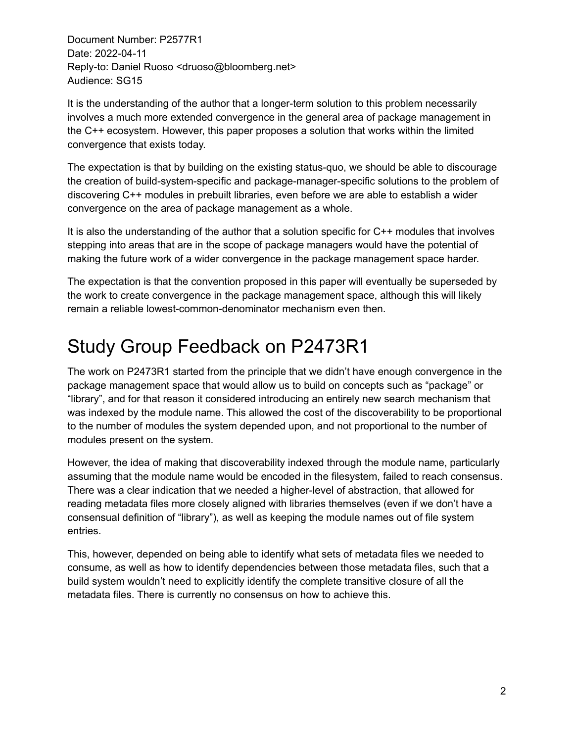It is the understanding of the author that a longer-term solution to this problem necessarily involves a much more extended convergence in the general area of package management in the C++ ecosystem. However, this paper proposes a solution that works within the limited convergence that exists today.

The expectation is that by building on the existing status-quo, we should be able to discourage the creation of build-system-specific and package-manager-specific solutions to the problem of discovering C++ modules in prebuilt libraries, even before we are able to establish a wider convergence on the area of package management as a whole.

It is also the understanding of the author that a solution specific for C++ modules that involves stepping into areas that are in the scope of package managers would have the potential of making the future work of a wider convergence in the package management space harder.

The expectation is that the convention proposed in this paper will eventually be superseded by the work to create convergence in the package management space, although this will likely remain a reliable lowest-common-denominator mechanism even then.

## Study Group Feedback on P2473R1

The work on P2473R1 started from the principle that we didn't have enough convergence in the package management space that would allow us to build on concepts such as "package" or "library", and for that reason it considered introducing an entirely new search mechanism that was indexed by the module name. This allowed the cost of the discoverability to be proportional to the number of modules the system depended upon, and not proportional to the number of modules present on the system.

However, the idea of making that discoverability indexed through the module name, particularly assuming that the module name would be encoded in the filesystem, failed to reach consensus. There was a clear indication that we needed a higher-level of abstraction, that allowed for reading metadata files more closely aligned with libraries themselves (even if we don't have a consensual definition of "library"), as well as keeping the module names out of file system entries.

This, however, depended on being able to identify what sets of metadata files we needed to consume, as well as how to identify dependencies between those metadata files, such that a build system wouldn't need to explicitly identify the complete transitive closure of all the metadata files. There is currently no consensus on how to achieve this.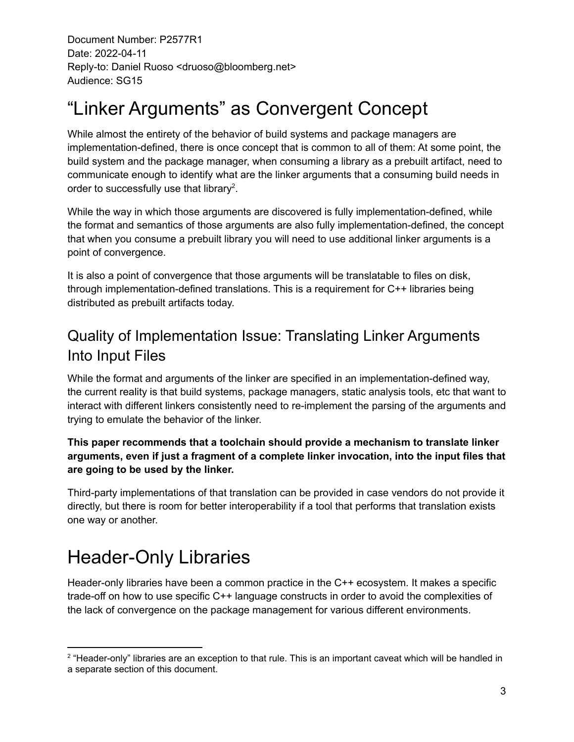## "Linker Arguments" as Convergent Concept

While almost the entirety of the behavior of build systems and package managers are implementation-defined, there is once concept that is common to all of them: At some point, the build system and the package manager, when consuming a library as a prebuilt artifact, need to communicate enough to identify what are the linker arguments that a consuming build needs in order to successfully use that library<sup>2</sup>.

While the way in which those arguments are discovered is fully implementation-defined, while the format and semantics of those arguments are also fully implementation-defined, the concept that when you consume a prebuilt library you will need to use additional linker arguments is a point of convergence.

It is also a point of convergence that those arguments will be translatable to files on disk, through implementation-defined translations. This is a requirement for C++ libraries being distributed as prebuilt artifacts today.

## Quality of Implementation Issue: Translating Linker Arguments Into Input Files

While the format and arguments of the linker are specified in an implementation-defined way, the current reality is that build systems, package managers, static analysis tools, etc that want to interact with different linkers consistently need to re-implement the parsing of the arguments and trying to emulate the behavior of the linker.

#### **This paper recommends that a toolchain should provide a mechanism to translate linker arguments, even if just a fragment of a complete linker invocation, into the input files that are going to be used by the linker.**

Third-party implementations of that translation can be provided in case vendors do not provide it directly, but there is room for better interoperability if a tool that performs that translation exists one way or another.

## Header-Only Libraries

Header-only libraries have been a common practice in the C++ ecosystem. It makes a specific trade-off on how to use specific C++ language constructs in order to avoid the complexities of the lack of convergence on the package management for various different environments.

<sup>&</sup>lt;sup>2</sup> "Header-only" libraries are an exception to that rule. This is an important caveat which will be handled in a separate section of this document.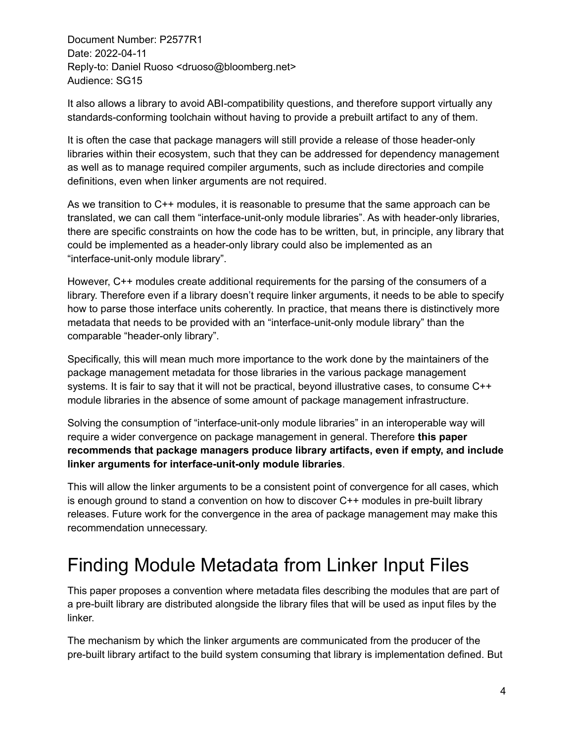It also allows a library to avoid ABI-compatibility questions, and therefore support virtually any standards-conforming toolchain without having to provide a prebuilt artifact to any of them.

It is often the case that package managers will still provide a release of those header-only libraries within their ecosystem, such that they can be addressed for dependency management as well as to manage required compiler arguments, such as include directories and compile definitions, even when linker arguments are not required.

As we transition to C++ modules, it is reasonable to presume that the same approach can be translated, we can call them "interface-unit-only module libraries". As with header-only libraries, there are specific constraints on how the code has to be written, but, in principle, any library that could be implemented as a header-only library could also be implemented as an "interface-unit-only module library".

However, C++ modules create additional requirements for the parsing of the consumers of a library. Therefore even if a library doesn't require linker arguments, it needs to be able to specify how to parse those interface units coherently. In practice, that means there is distinctively more metadata that needs to be provided with an "interface-unit-only module library" than the comparable "header-only library".

Specifically, this will mean much more importance to the work done by the maintainers of the package management metadata for those libraries in the various package management systems. It is fair to say that it will not be practical, beyond illustrative cases, to consume C++ module libraries in the absence of some amount of package management infrastructure.

Solving the consumption of "interface-unit-only module libraries" in an interoperable way will require a wider convergence on package management in general. Therefore **this paper recommends that package managers produce library artifacts, even if empty, and include linker arguments for interface-unit-only module libraries**.

This will allow the linker arguments to be a consistent point of convergence for all cases, which is enough ground to stand a convention on how to discover C++ modules in pre-built library releases. Future work for the convergence in the area of package management may make this recommendation unnecessary.

## Finding Module Metadata from Linker Input Files

This paper proposes a convention where metadata files describing the modules that are part of a pre-built library are distributed alongside the library files that will be used as input files by the linker.

The mechanism by which the linker arguments are communicated from the producer of the pre-built library artifact to the build system consuming that library is implementation defined. But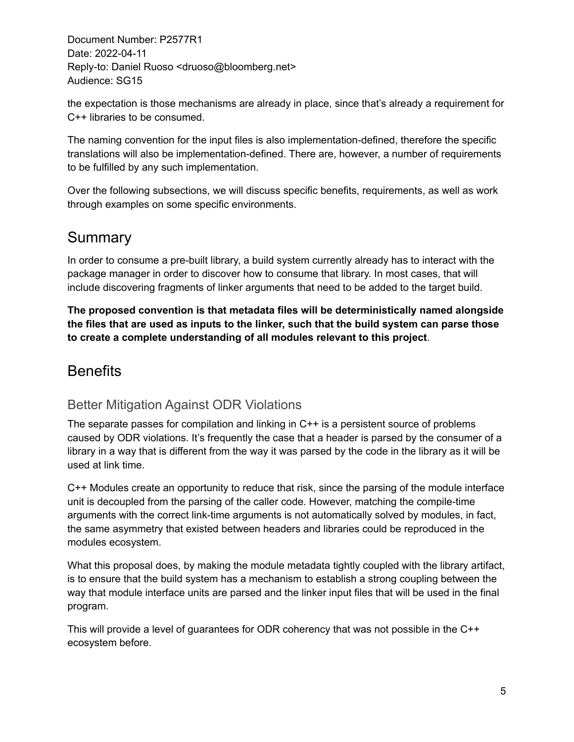the expectation is those mechanisms are already in place, since that's already a requirement for C++ libraries to be consumed.

The naming convention for the input files is also implementation-defined, therefore the specific translations will also be implementation-defined. There are, however, a number of requirements to be fulfilled by any such implementation.

Over the following subsections, we will discuss specific benefits, requirements, as well as work through examples on some specific environments.

### **Summary**

In order to consume a pre-built library, a build system currently already has to interact with the package manager in order to discover how to consume that library. In most cases, that will include discovering fragments of linker arguments that need to be added to the target build.

**The proposed convention is that metadata files will be deterministically named alongside the files that are used as inputs to the linker, such that the build system can parse those to create a complete understanding of all modules relevant to this project**.

### **Benefits**

#### Better Mitigation Against ODR Violations

The separate passes for compilation and linking in C++ is a persistent source of problems caused by ODR violations. It's frequently the case that a header is parsed by the consumer of a library in a way that is different from the way it was parsed by the code in the library as it will be used at link time.

C++ Modules create an opportunity to reduce that risk, since the parsing of the module interface unit is decoupled from the parsing of the caller code. However, matching the compile-time arguments with the correct link-time arguments is not automatically solved by modules, in fact, the same asymmetry that existed between headers and libraries could be reproduced in the modules ecosystem.

What this proposal does, by making the module metadata tightly coupled with the library artifact, is to ensure that the build system has a mechanism to establish a strong coupling between the way that module interface units are parsed and the linker input files that will be used in the final program.

This will provide a level of guarantees for ODR coherency that was not possible in the C++ ecosystem before.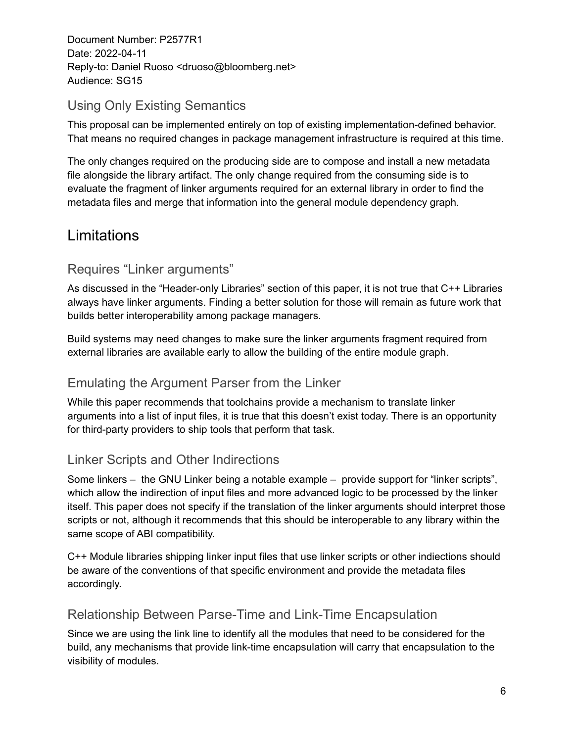#### Using Only Existing Semantics

This proposal can be implemented entirely on top of existing implementation-defined behavior. That means no required changes in package management infrastructure is required at this time.

The only changes required on the producing side are to compose and install a new metadata file alongside the library artifact. The only change required from the consuming side is to evaluate the fragment of linker arguments required for an external library in order to find the metadata files and merge that information into the general module dependency graph.

### Limitations

#### Requires "Linker arguments"

As discussed in the "Header-only Libraries" section of this paper, it is not true that C++ Libraries always have linker arguments. Finding a better solution for those will remain as future work that builds better interoperability among package managers.

Build systems may need changes to make sure the linker arguments fragment required from external libraries are available early to allow the building of the entire module graph.

#### Emulating the Argument Parser from the Linker

While this paper recommends that toolchains provide a mechanism to translate linker arguments into a list of input files, it is true that this doesn't exist today. There is an opportunity for third-party providers to ship tools that perform that task.

#### Linker Scripts and Other Indirections

Some linkers – the GNU Linker being a notable example – provide support for "linker scripts", which allow the indirection of input files and more advanced logic to be processed by the linker itself. This paper does not specify if the translation of the linker arguments should interpret those scripts or not, although it recommends that this should be interoperable to any library within the same scope of ABI compatibility.

C++ Module libraries shipping linker input files that use linker scripts or other indiections should be aware of the conventions of that specific environment and provide the metadata files accordingly.

#### Relationship Between Parse-Time and Link-Time Encapsulation

Since we are using the link line to identify all the modules that need to be considered for the build, any mechanisms that provide link-time encapsulation will carry that encapsulation to the visibility of modules.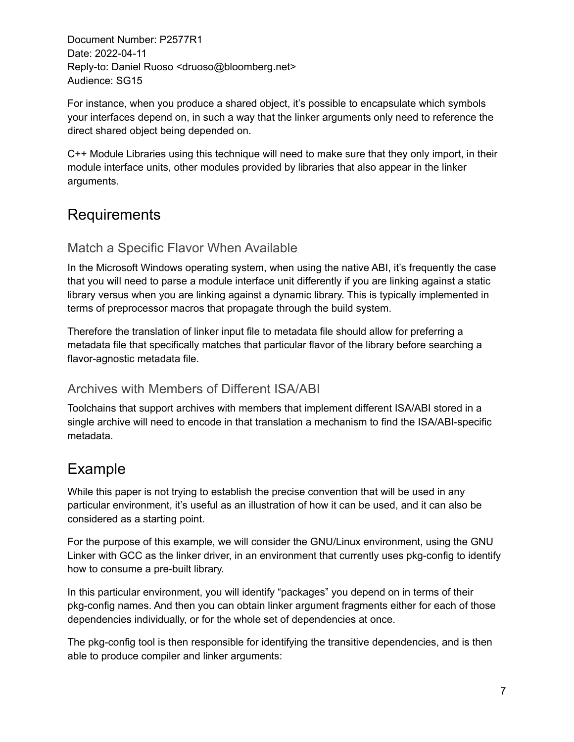For instance, when you produce a shared object, it's possible to encapsulate which symbols your interfaces depend on, in such a way that the linker arguments only need to reference the direct shared object being depended on.

C++ Module Libraries using this technique will need to make sure that they only import, in their module interface units, other modules provided by libraries that also appear in the linker arguments.

### Requirements

#### Match a Specific Flavor When Available

In the Microsoft Windows operating system, when using the native ABI, it's frequently the case that you will need to parse a module interface unit differently if you are linking against a static library versus when you are linking against a dynamic library. This is typically implemented in terms of preprocessor macros that propagate through the build system.

Therefore the translation of linker input file to metadata file should allow for preferring a metadata file that specifically matches that particular flavor of the library before searching a flavor-agnostic metadata file.

#### Archives with Members of Different ISA/ABI

Toolchains that support archives with members that implement different ISA/ABI stored in a single archive will need to encode in that translation a mechanism to find the ISA/ABI-specific metadata.

### Example

While this paper is not trying to establish the precise convention that will be used in any particular environment, it's useful as an illustration of how it can be used, and it can also be considered as a starting point.

For the purpose of this example, we will consider the GNU/Linux environment, using the GNU Linker with GCC as the linker driver, in an environment that currently uses pkg-config to identify how to consume a pre-built library.

In this particular environment, you will identify "packages" you depend on in terms of their pkg-config names. And then you can obtain linker argument fragments either for each of those dependencies individually, or for the whole set of dependencies at once.

The pkg-config tool is then responsible for identifying the transitive dependencies, and is then able to produce compiler and linker arguments: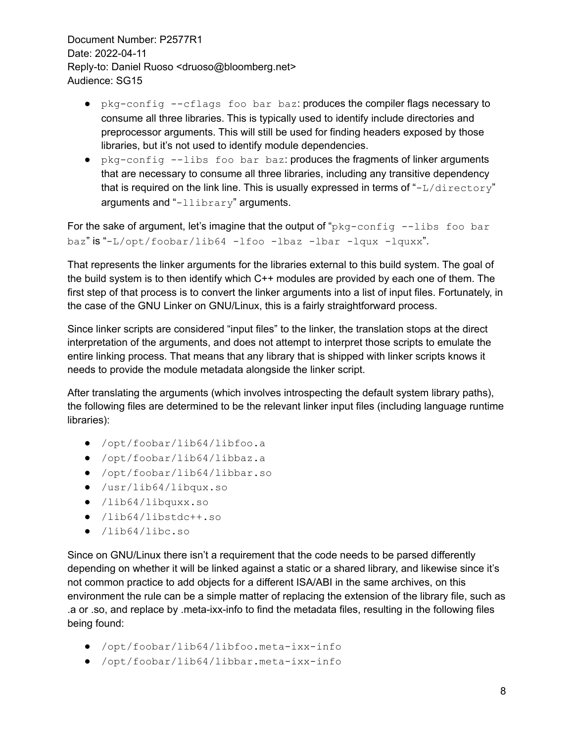- pkg-config --cflags foo bar baz: produces the compiler flags necessary to consume all three libraries. This is typically used to identify include directories and preprocessor arguments. This will still be used for finding headers exposed by those libraries, but it's not used to identify module dependencies.
- pkg-config --libs foo bar baz: produces the fragments of linker arguments that are necessary to consume all three libraries, including any transitive dependency that is required on the link line. This is usually expressed in terms of " $-L/directory"$ arguments and "-llibrary" arguments.

For the sake of argument, let's imagine that the output of " $pkq$ -config --libs foo bar baz" is "-L/opt/foobar/lib64 -lfoo -lbaz -lbar -lqux -lquxx".

That represents the linker arguments for the libraries external to this build system. The goal of the build system is to then identify which C++ modules are provided by each one of them. The first step of that process is to convert the linker arguments into a list of input files. Fortunately, in the case of the GNU Linker on GNU/Linux, this is a fairly straightforward process.

Since linker scripts are considered "input files" to the linker, the translation stops at the direct interpretation of the arguments, and does not attempt to interpret those scripts to emulate the entire linking process. That means that any library that is shipped with linker scripts knows it needs to provide the module metadata alongside the linker script.

After translating the arguments (which involves introspecting the default system library paths), the following files are determined to be the relevant linker input files (including language runtime libraries):

- /opt/foobar/lib64/libfoo.a
- /opt/foobar/lib64/libbaz.a
- /opt/foobar/lib64/libbar.so
- /usr/lib64/libqux.so
- /lib64/libquxx.so
- /lib64/libstdc++.so
- /lib64/libc.so

Since on GNU/Linux there isn't a requirement that the code needs to be parsed differently depending on whether it will be linked against a static or a shared library, and likewise since it's not common practice to add objects for a different ISA/ABI in the same archives, on this environment the rule can be a simple matter of replacing the extension of the library file, such as .a or .so, and replace by .meta-ixx-info to find the metadata files, resulting in the following files being found:

- /opt/foobar/lib64/libfoo.meta-ixx-info
- /opt/foobar/lib64/libbar.meta-ixx-info